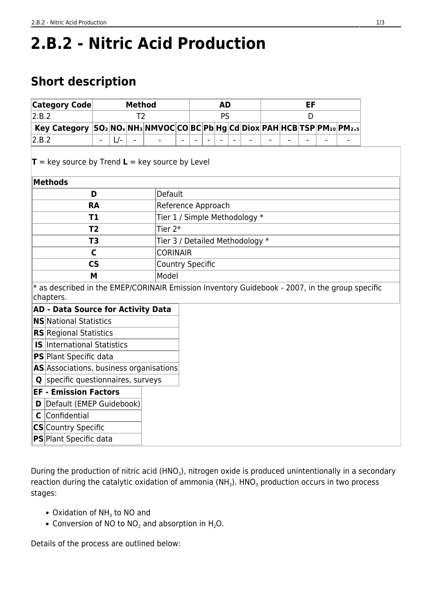# **2.B.2 - Nitric Acid Production**

## **Short description**

| $ \mathsf{Categorical} $                                                                                       | <b>Method</b> |       |                |         |                                 | <b>AD</b> |           |  |  |  | EF |  |   |  |  |  |  |  |
|----------------------------------------------------------------------------------------------------------------|---------------|-------|----------------|---------|---------------------------------|-----------|-----------|--|--|--|----|--|---|--|--|--|--|--|
| 2.B.2                                                                                                          |               |       | T <sub>2</sub> |         |                                 |           | <b>PS</b> |  |  |  |    |  | D |  |  |  |  |  |
| Key Category SO <sub>2</sub> NO <sub>x</sub> NH <sub>3</sub> NMVOCCOBCPbHgCdDioxPAHHCBTSPPM10PM <sub>2.5</sub> |               |       |                |         |                                 |           |           |  |  |  |    |  |   |  |  |  |  |  |
| 2.B.2                                                                                                          |               | $L$ - |                |         |                                 |           |           |  |  |  |    |  |   |  |  |  |  |  |
| $T = \text{key source by Trend } L = \text{key source by Level}$                                               |               |       |                |         |                                 |           |           |  |  |  |    |  |   |  |  |  |  |  |
| <b>Methods</b>                                                                                                 |               |       |                |         |                                 |           |           |  |  |  |    |  |   |  |  |  |  |  |
| D                                                                                                              |               |       |                | Default |                                 |           |           |  |  |  |    |  |   |  |  |  |  |  |
| <b>RA</b>                                                                                                      |               |       |                |         | Reference Approach              |           |           |  |  |  |    |  |   |  |  |  |  |  |
| T1                                                                                                             |               |       |                |         | Tier 1 / Simple Methodology *   |           |           |  |  |  |    |  |   |  |  |  |  |  |
| T <sub>2</sub>                                                                                                 |               |       |                |         | Tier 2*                         |           |           |  |  |  |    |  |   |  |  |  |  |  |
| T <sub>3</sub>                                                                                                 |               |       |                |         | Tier 3 / Detailed Methodology * |           |           |  |  |  |    |  |   |  |  |  |  |  |
| C                                                                                                              |               |       |                |         | <b>CORINAIR</b>                 |           |           |  |  |  |    |  |   |  |  |  |  |  |
| $\mathsf{CS}\phantom{A}$                                                                                       |               |       |                |         | <b>Country Specific</b>         |           |           |  |  |  |    |  |   |  |  |  |  |  |
| M                                                                                                              |               |       |                |         | Model                           |           |           |  |  |  |    |  |   |  |  |  |  |  |
| * as described in the EMEP/CORINAIR Emission Inventory Guidebook - 2007, in the group specific<br>chapters.    |               |       |                |         |                                 |           |           |  |  |  |    |  |   |  |  |  |  |  |
| <b>AD - Data Source for Activity Data</b>                                                                      |               |       |                |         |                                 |           |           |  |  |  |    |  |   |  |  |  |  |  |
| <b>NS</b> National Statistics                                                                                  |               |       |                |         |                                 |           |           |  |  |  |    |  |   |  |  |  |  |  |
| <b>RS</b> Regional Statistics                                                                                  |               |       |                |         |                                 |           |           |  |  |  |    |  |   |  |  |  |  |  |
| <b>IS</b> International Statistics                                                                             |               |       |                |         |                                 |           |           |  |  |  |    |  |   |  |  |  |  |  |
| PS Plant Specific data                                                                                         |               |       |                |         |                                 |           |           |  |  |  |    |  |   |  |  |  |  |  |
| AS Associations, business organisations                                                                        |               |       |                |         |                                 |           |           |  |  |  |    |  |   |  |  |  |  |  |
| <b>Q</b> specific questionnaires, surveys                                                                      |               |       |                |         |                                 |           |           |  |  |  |    |  |   |  |  |  |  |  |
| <b>EF - Emission Factors</b>                                                                                   |               |       |                |         |                                 |           |           |  |  |  |    |  |   |  |  |  |  |  |
| Default (EMEP Guidebook)<br>D                                                                                  |               |       |                |         |                                 |           |           |  |  |  |    |  |   |  |  |  |  |  |
| Confidential<br>C                                                                                              |               |       |                |         |                                 |           |           |  |  |  |    |  |   |  |  |  |  |  |
| CS Country Specific                                                                                            |               |       |                |         |                                 |           |           |  |  |  |    |  |   |  |  |  |  |  |
| PS Plant Specific data                                                                                         |               |       |                |         |                                 |           |           |  |  |  |    |  |   |  |  |  |  |  |

During the production of nitric acid (HNO<sub>3</sub>), nitrogen oxide is produced unintentionally in a secondary reaction during the catalytic oxidation of ammonia (NH<sub>3</sub>). HNO<sub>3</sub> production occurs in two process stages:

- Oxidation of  $NH<sub>3</sub>$  to NO and
- Conversion of NO to  $NO<sub>2</sub>$  and absorption in H<sub>2</sub>O.

Details of the process are outlined below: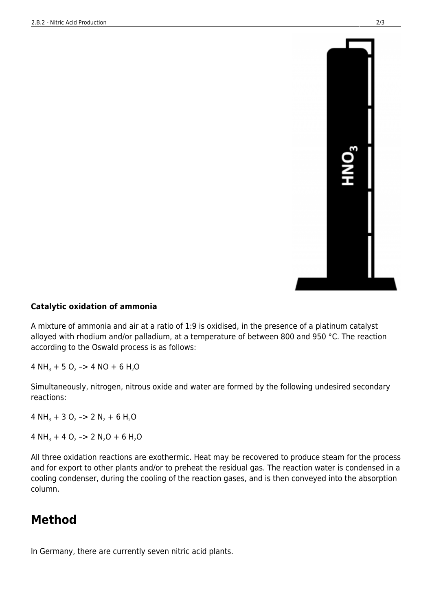

#### **Catalytic oxidation of ammonia**

A mixture of ammonia and air at a ratio of 1:9 is oxidised, in the presence of a platinum catalyst alloyed with rhodium and/or palladium, at a temperature of between 800 and 950 °C. The reaction according to the Oswald process is as follows:

4 NH<sub>3</sub> + 5 O<sub>2</sub> -> 4 NO + 6 H<sub>2</sub>O

Simultaneously, nitrogen, nitrous oxide and water are formed by the following undesired secondary reactions:

4 NH<sub>3</sub> + 3 O<sub>2</sub> -> 2 N<sub>2</sub> + 6 H<sub>2</sub>O

4 NH<sub>3</sub> + 4 O<sub>2</sub> -> 2 N<sub>2</sub>O + 6 H<sub>2</sub>O

All three oxidation reactions are exothermic. Heat may be recovered to produce steam for the process and for export to other plants and/or to preheat the residual gas. The reaction water is condensed in a cooling condenser, during the cooling of the reaction gases, and is then conveyed into the absorption column.

## **Method**

In Germany, there are currently seven nitric acid plants.